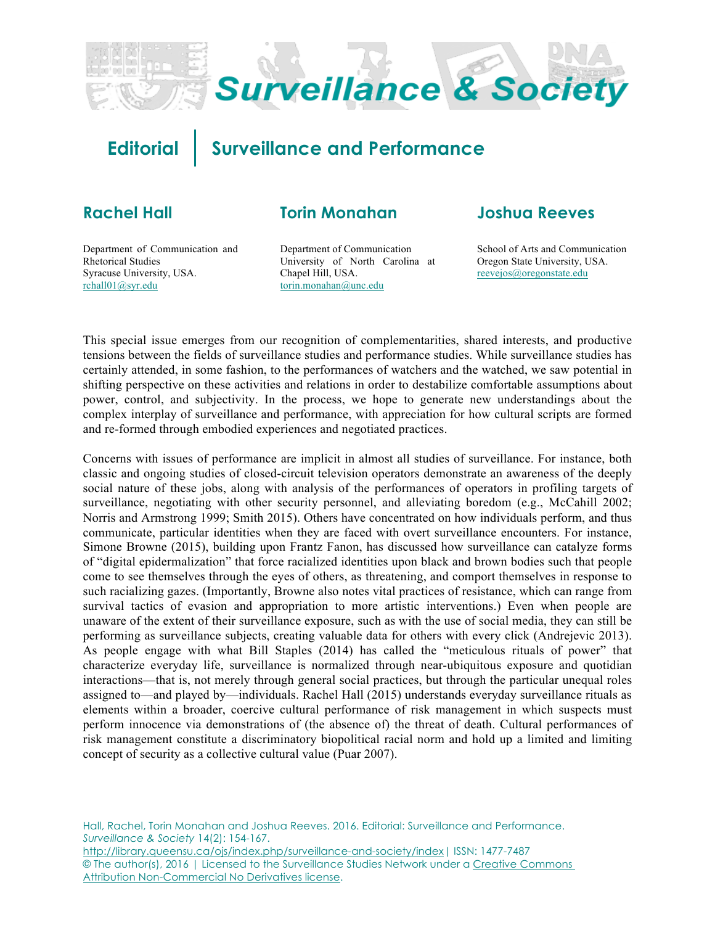

# **Editorial Surveillance and Performance**

## **Rachel Hall**

## **Torin Monahan**

Department of Communication and Rhetorical Studies Syracuse University, USA. [rchall01@syr.edu](mailto:rchall01@syr.edu)

Department of Communication University of North Carolina at Chapel Hill, USA. [torin.monahan@unc.edu](mailto:torin.monahan@unc.edu)

### **Joshua Reeves**

School of Arts and Communication Oregon State University, USA. [reevejos@oregonstate.edu](mailto:reevejos@oregonstate.edu)

This special issue emerges from our recognition of complementarities, shared interests, and productive tensions between the fields of surveillance studies and performance studies. While surveillance studies has certainly attended, in some fashion, to the performances of watchers and the watched, we saw potential in shifting perspective on these activities and relations in order to destabilize comfortable assumptions about power, control, and subjectivity. In the process, we hope to generate new understandings about the complex interplay of surveillance and performance, with appreciation for how cultural scripts are formed and re-formed through embodied experiences and negotiated practices.

Concerns with issues of performance are implicit in almost all studies of surveillance. For instance, both classic and ongoing studies of closed-circuit television operators demonstrate an awareness of the deeply social nature of these jobs, along with analysis of the performances of operators in profiling targets of surveillance, negotiating with other security personnel, and alleviating boredom (e.g., McCahill 2002; Norris and Armstrong 1999; Smith 2015). Others have concentrated on how individuals perform, and thus communicate, particular identities when they are faced with overt surveillance encounters. For instance, Simone Browne (2015), building upon Frantz Fanon, has discussed how surveillance can catalyze forms of "digital epidermalization" that force racialized identities upon black and brown bodies such that people come to see themselves through the eyes of others, as threatening, and comport themselves in response to such racializing gazes. (Importantly, Browne also notes vital practices of resistance, which can range from survival tactics of evasion and appropriation to more artistic interventions.) Even when people are unaware of the extent of their surveillance exposure, such as with the use of social media, they can still be performing as surveillance subjects, creating valuable data for others with every click (Andrejevic 2013). As people engage with what Bill Staples (2014) has called the "meticulous rituals of power" that characterize everyday life, surveillance is normalized through near-ubiquitous exposure and quotidian interactions—that is, not merely through general social practices, but through the particular unequal roles assigned to—and played by—individuals. Rachel Hall (2015) understands everyday surveillance rituals as elements within a broader, coercive cultural performance of risk management in which suspects must perform innocence via demonstrations of (the absence of) the threat of death. Cultural performances of risk management constitute a discriminatory biopolitical racial norm and hold up a limited and limiting concept of security as a collective cultural value (Puar 2007).

Hall, Rachel, Torin Monahan and Joshua Reeves. 2016. Editorial: Surveillance and Performance. *Surveillance & Society* 14(2): 154-167. [http://library.queensu.ca/ojs/index.php/surveillance-and-society/index| IS](http://library.queensu.ca/ojs/index.php/surveillance-and-society/index|)SN: 1477-7487 © The author(s), 2016 | Licensed to the Surveillance Studies Network under a Creative Commons Attribution Non-Commercial No Derivatives license.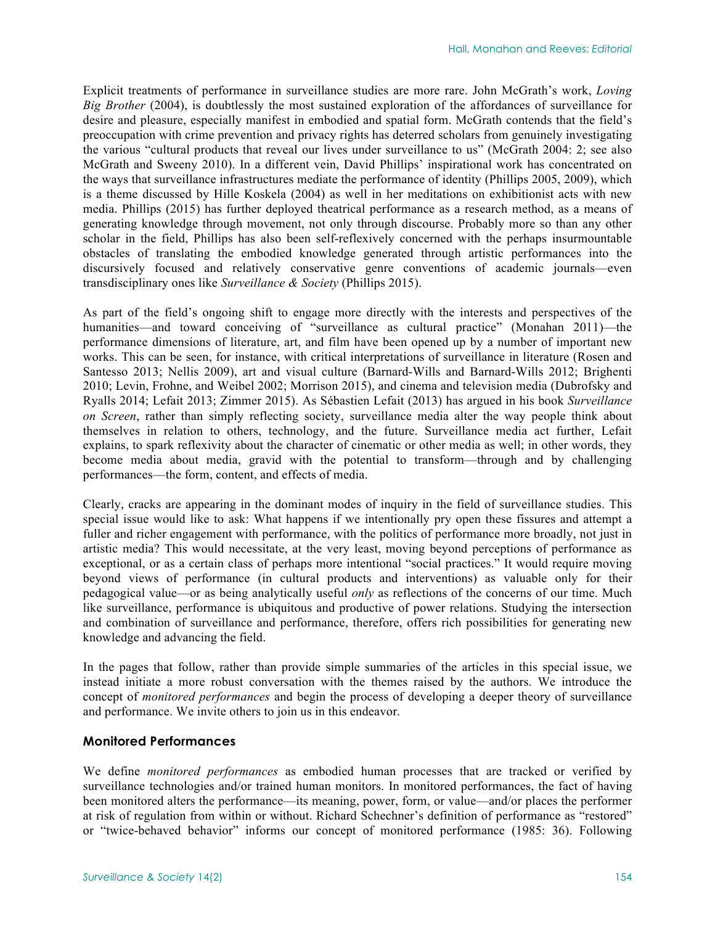Explicit treatments of performance in surveillance studies are more rare. John McGrath's work, *Loving Big Brother* (2004), is doubtlessly the most sustained exploration of the affordances of surveillance for desire and pleasure, especially manifest in embodied and spatial form. McGrath contends that the field's preoccupation with crime prevention and privacy rights has deterred scholars from genuinely investigating the various "cultural products that reveal our lives under surveillance to us" (McGrath 2004: 2; see also McGrath and Sweeny 2010). In a different vein, David Phillips' inspirational work has concentrated on the ways that surveillance infrastructures mediate the performance of identity (Phillips 2005, 2009), which is a theme discussed by Hille Koskela (2004) as well in her meditations on exhibitionist acts with new media. Phillips (2015) has further deployed theatrical performance as a research method, as a means of generating knowledge through movement, not only through discourse. Probably more so than any other scholar in the field, Phillips has also been self-reflexively concerned with the perhaps insurmountable obstacles of translating the embodied knowledge generated through artistic performances into the discursively focused and relatively conservative genre conventions of academic journals—even transdisciplinary ones like *Surveillance & Society* (Phillips 2015).

As part of the field's ongoing shift to engage more directly with the interests and perspectives of the humanities—and toward conceiving of "surveillance as cultural practice" (Monahan 2011)—the performance dimensions of literature, art, and film have been opened up by a number of important new works. This can be seen, for instance, with critical interpretations of surveillance in literature (Rosen and Santesso 2013; Nellis 2009), art and visual culture (Barnard-Wills and Barnard-Wills 2012; Brighenti 2010; Levin, Frohne, and Weibel 2002; Morrison 2015), and cinema and television media (Dubrofsky and Ryalls 2014; Lefait 2013; Zimmer 2015). As Sébastien Lefait (2013) has argued in his book *Surveillance on Screen*, rather than simply reflecting society, surveillance media alter the way people think about themselves in relation to others, technology, and the future. Surveillance media act further, Lefait explains, to spark reflexivity about the character of cinematic or other media as well; in other words, they become media about media, gravid with the potential to transform—through and by challenging performances—the form, content, and effects of media.

Clearly, cracks are appearing in the dominant modes of inquiry in the field of surveillance studies. This special issue would like to ask: What happens if we intentionally pry open these fissures and attempt a fuller and richer engagement with performance, with the politics of performance more broadly, not just in artistic media? This would necessitate, at the very least, moving beyond perceptions of performance as exceptional, or as a certain class of perhaps more intentional "social practices." It would require moving beyond views of performance (in cultural products and interventions) as valuable only for their pedagogical value—or as being analytically useful *only* as reflections of the concerns of our time. Much like surveillance, performance is ubiquitous and productive of power relations. Studying the intersection and combination of surveillance and performance, therefore, offers rich possibilities for generating new knowledge and advancing the field.

In the pages that follow, rather than provide simple summaries of the articles in this special issue, we instead initiate a more robust conversation with the themes raised by the authors. We introduce the concept of *monitored performances* and begin the process of developing a deeper theory of surveillance and performance. We invite others to join us in this endeavor.

#### **Monitored Performances**

We define *monitored performances* as embodied human processes that are tracked or verified by surveillance technologies and/or trained human monitors. In monitored performances, the fact of having been monitored alters the performance—its meaning, power, form, or value—and/or places the performer at risk of regulation from within or without. Richard Schechner's definition of performance as "restored" or "twice-behaved behavior" informs our concept of monitored performance (1985: 36). Following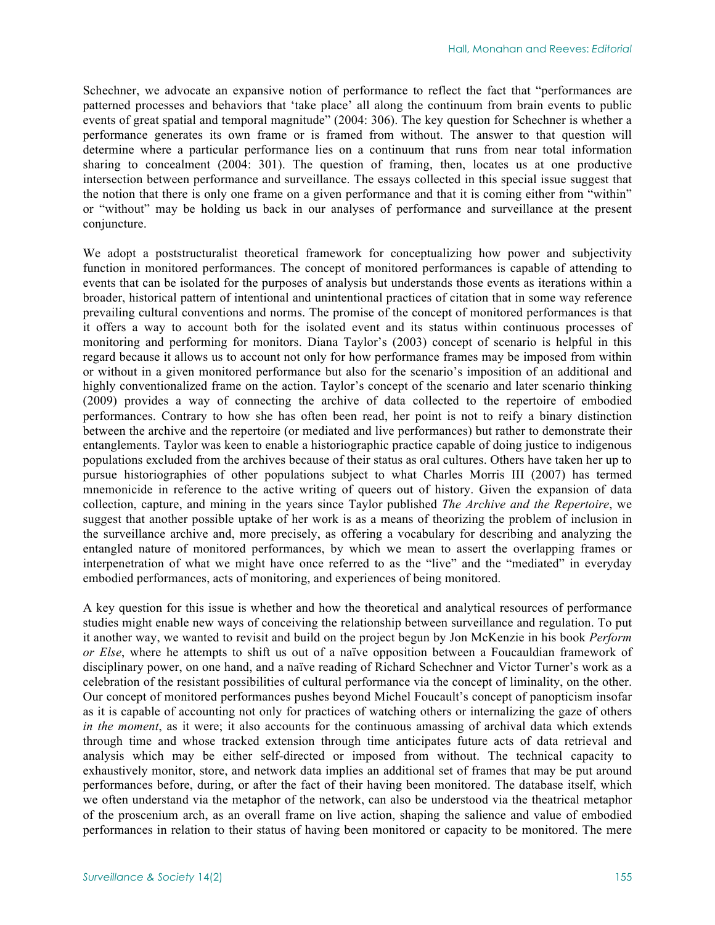Schechner, we advocate an expansive notion of performance to reflect the fact that "performances are patterned processes and behaviors that 'take place' all along the continuum from brain events to public events of great spatial and temporal magnitude" (2004: 306). The key question for Schechner is whether a performance generates its own frame or is framed from without. The answer to that question will determine where a particular performance lies on a continuum that runs from near total information sharing to concealment (2004: 301). The question of framing, then, locates us at one productive intersection between performance and surveillance. The essays collected in this special issue suggest that the notion that there is only one frame on a given performance and that it is coming either from "within" or "without" may be holding us back in our analyses of performance and surveillance at the present conjuncture.

We adopt a poststructuralist theoretical framework for conceptualizing how power and subjectivity function in monitored performances. The concept of monitored performances is capable of attending to events that can be isolated for the purposes of analysis but understands those events as iterations within a broader, historical pattern of intentional and unintentional practices of citation that in some way reference prevailing cultural conventions and norms. The promise of the concept of monitored performances is that it offers a way to account both for the isolated event and its status within continuous processes of monitoring and performing for monitors. Diana Taylor's (2003) concept of scenario is helpful in this regard because it allows us to account not only for how performance frames may be imposed from within or without in a given monitored performance but also for the scenario's imposition of an additional and highly conventionalized frame on the action. Taylor's concept of the scenario and later scenario thinking (2009) provides a way of connecting the archive of data collected to the repertoire of embodied performances. Contrary to how she has often been read, her point is not to reify a binary distinction between the archive and the repertoire (or mediated and live performances) but rather to demonstrate their entanglements. Taylor was keen to enable a historiographic practice capable of doing justice to indigenous populations excluded from the archives because of their status as oral cultures. Others have taken her up to pursue historiographies of other populations subject to what Charles Morris III (2007) has termed mnemonicide in reference to the active writing of queers out of history. Given the expansion of data collection, capture, and mining in the years since Taylor published *The Archive and the Repertoire*, we suggest that another possible uptake of her work is as a means of theorizing the problem of inclusion in the surveillance archive and, more precisely, as offering a vocabulary for describing and analyzing the entangled nature of monitored performances, by which we mean to assert the overlapping frames or interpenetration of what we might have once referred to as the "live" and the "mediated" in everyday embodied performances, acts of monitoring, and experiences of being monitored.

A key question for this issue is whether and how the theoretical and analytical resources of performance studies might enable new ways of conceiving the relationship between surveillance and regulation. To put it another way, we wanted to revisit and build on the project begun by Jon McKenzie in his book *Perform or Else*, where he attempts to shift us out of a naïve opposition between a Foucauldian framework of disciplinary power, on one hand, and a naïve reading of Richard Schechner and Victor Turner's work as a celebration of the resistant possibilities of cultural performance via the concept of liminality, on the other. Our concept of monitored performances pushes beyond Michel Foucault's concept of panopticism insofar as it is capable of accounting not only for practices of watching others or internalizing the gaze of others *in the moment*, as it were; it also accounts for the continuous amassing of archival data which extends through time and whose tracked extension through time anticipates future acts of data retrieval and analysis which may be either self-directed or imposed from without. The technical capacity to exhaustively monitor, store, and network data implies an additional set of frames that may be put around performances before, during, or after the fact of their having been monitored. The database itself, which we often understand via the metaphor of the network, can also be understood via the theatrical metaphor of the proscenium arch, as an overall frame on live action, shaping the salience and value of embodied performances in relation to their status of having been monitored or capacity to be monitored. The mere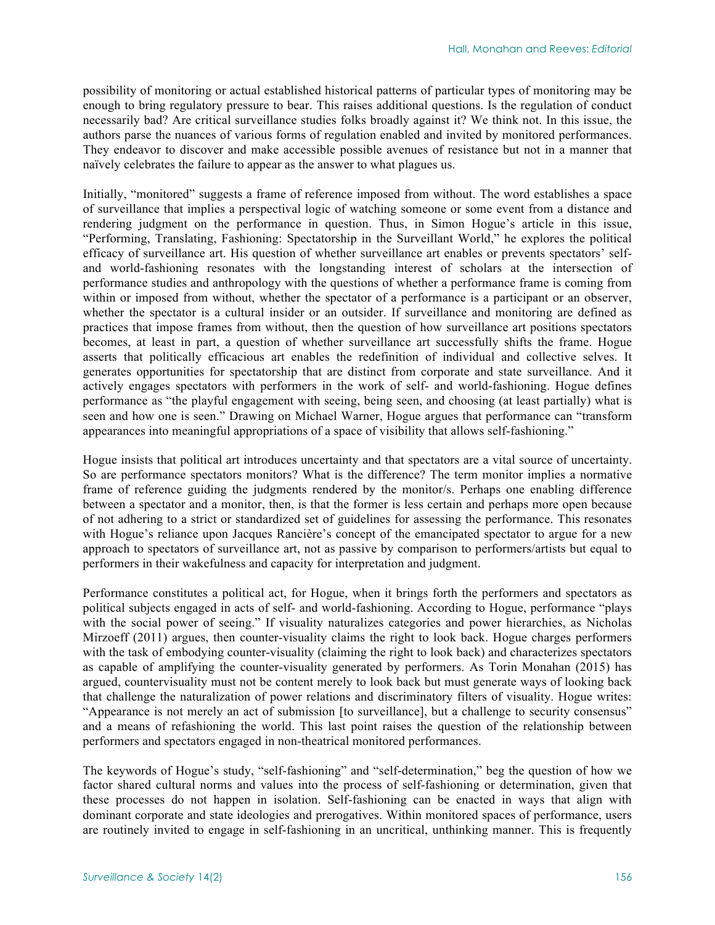possibility of monitoring or actual established historical patterns of particular types of monitoring may be enough to bring regulatory pressure to bear. This raises additional questions. Is the regulation of conduct necessarily bad? Are critical surveillance studies folks broadly against it? We think not. In this issue, the authors parse the nuances of various forms of regulation enabled and invited by monitored performances. They endeavor to discover and make accessible possible avenues of resistance but not in a manner that naïvely celebrates the failure to appear as the answer to what plagues us.

Initially, "monitored" suggests a frame of reference imposed from without. The word establishes a space of surveillance that implies a perspectival logic of watching someone or some event from a distance and rendering judgment on the performance in question. Thus, in Simon Hogue's article in this issue, "Performing, Translating, Fashioning: Spectatorship in the Surveillant World," he explores the political efficacy of surveillance art. His question of whether surveillance art enables or prevents spectators' selfand world-fashioning resonates with the longstanding interest of scholars at the intersection of performance studies and anthropology with the questions of whether a performance frame is coming from within or imposed from without, whether the spectator of a performance is a participant or an observer, whether the spectator is a cultural insider or an outsider. If surveillance and monitoring are defined as practices that impose frames from without, then the question of how surveillance art positions spectators becomes, at least in part, a question of whether surveillance art successfully shifts the frame. Hogue asserts that politically efficacious art enables the redefinition of individual and collective selves. It generates opportunities for spectatorship that are distinct from corporate and state surveillance. And it actively engages spectators with performers in the work of self- and world-fashioning. Hogue defines performance as "the playful engagement with seeing, being seen, and choosing (at least partially) what is seen and how one is seen." Drawing on Michael Warner, Hogue argues that performance can "transform appearances into meaningful appropriations of a space of visibility that allows self-fashioning."

Hogue insists that political art introduces uncertainty and that spectators are a vital source of uncertainty. So are performance spectators monitors? What is the difference? The term monitor implies a normative frame of reference guiding the judgments rendered by the monitor/s. Perhaps one enabling difference between a spectator and a monitor, then, is that the former is less certain and perhaps more open because of not adhering to a strict or standardized set of guidelines for assessing the performance. This resonates with Hogue's reliance upon Jacques Rancière's concept of the emancipated spectator to argue for a new approach to spectators of surveillance art, not as passive by comparison to performers/artists but equal to performers in their wakefulness and capacity for interpretation and judgment.

Performance constitutes a political act, for Hogue, when it brings forth the performers and spectators as political subjects engaged in acts of self- and world-fashioning. According to Hogue, performance "plays with the social power of seeing." If visuality naturalizes categories and power hierarchies, as Nicholas Mirzoeff (2011) argues, then counter-visuality claims the right to look back. Hogue charges performers with the task of embodying counter-visuality (claiming the right to look back) and characterizes spectators as capable of amplifying the counter-visuality generated by performers. As Torin Monahan (2015) has argued, countervisuality must not be content merely to look back but must generate ways of looking back that challenge the naturalization of power relations and discriminatory filters of visuality. Hogue writes: "Appearance is not merely an act of submission [to surveillance], but a challenge to security consensus" and a means of refashioning the world. This last point raises the question of the relationship between performers and spectators engaged in non-theatrical monitored performances.

The keywords of Hogue's study, "self-fashioning" and "self-determination," beg the question of how we factor shared cultural norms and values into the process of self-fashioning or determination, given that these processes do not happen in isolation. Self-fashioning can be enacted in ways that align with dominant corporate and state ideologies and prerogatives. Within monitored spaces of performance, users are routinely invited to engage in self-fashioning in an uncritical, unthinking manner. This is frequently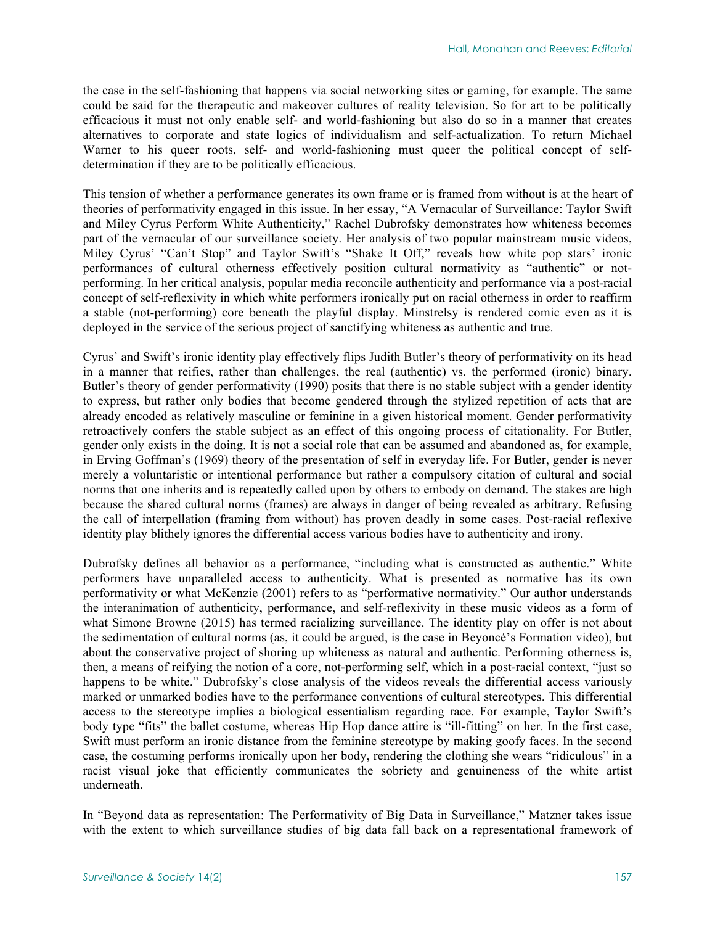the case in the self-fashioning that happens via social networking sites or gaming, for example. The same could be said for the therapeutic and makeover cultures of reality television. So for art to be politically efficacious it must not only enable self- and world-fashioning but also do so in a manner that creates alternatives to corporate and state logics of individualism and self-actualization. To return Michael Warner to his queer roots, self- and world-fashioning must queer the political concept of selfdetermination if they are to be politically efficacious.

This tension of whether a performance generates its own frame or is framed from without is at the heart of theories of performativity engaged in this issue. In her essay, "A Vernacular of Surveillance: Taylor Swift and Miley Cyrus Perform White Authenticity," Rachel Dubrofsky demonstrates how whiteness becomes part of the vernacular of our surveillance society. Her analysis of two popular mainstream music videos, Miley Cyrus' "Can't Stop" and Taylor Swift's "Shake It Off," reveals how white pop stars' ironic performances of cultural otherness effectively position cultural normativity as "authentic" or notperforming. In her critical analysis, popular media reconcile authenticity and performance via a post-racial concept of self-reflexivity in which white performers ironically put on racial otherness in order to reaffirm a stable (not-performing) core beneath the playful display. Minstrelsy is rendered comic even as it is deployed in the service of the serious project of sanctifying whiteness as authentic and true.

Cyrus' and Swift's ironic identity play effectively flips Judith Butler's theory of performativity on its head in a manner that reifies, rather than challenges, the real (authentic) vs. the performed (ironic) binary. Butler's theory of gender performativity (1990) posits that there is no stable subject with a gender identity to express, but rather only bodies that become gendered through the stylized repetition of acts that are already encoded as relatively masculine or feminine in a given historical moment. Gender performativity retroactively confers the stable subject as an effect of this ongoing process of citationality. For Butler, gender only exists in the doing. It is not a social role that can be assumed and abandoned as, for example, in Erving Goffman's (1969) theory of the presentation of self in everyday life. For Butler, gender is never merely a voluntaristic or intentional performance but rather a compulsory citation of cultural and social norms that one inherits and is repeatedly called upon by others to embody on demand. The stakes are high because the shared cultural norms (frames) are always in danger of being revealed as arbitrary. Refusing the call of interpellation (framing from without) has proven deadly in some cases. Post-racial reflexive identity play blithely ignores the differential access various bodies have to authenticity and irony.

Dubrofsky defines all behavior as a performance, "including what is constructed as authentic." White performers have unparalleled access to authenticity. What is presented as normative has its own performativity or what McKenzie (2001) refers to as "performative normativity." Our author understands the interanimation of authenticity, performance, and self-reflexivity in these music videos as a form of what Simone Browne (2015) has termed racializing surveillance. The identity play on offer is not about the sedimentation of cultural norms (as, it could be argued, is the case in Beyoncé's Formation video), but about the conservative project of shoring up whiteness as natural and authentic. Performing otherness is, then, a means of reifying the notion of a core, not-performing self, which in a post-racial context, "just so happens to be white." Dubrofsky's close analysis of the videos reveals the differential access variously marked or unmarked bodies have to the performance conventions of cultural stereotypes. This differential access to the stereotype implies a biological essentialism regarding race. For example, Taylor Swift's body type "fits" the ballet costume, whereas Hip Hop dance attire is "ill-fitting" on her. In the first case, Swift must perform an ironic distance from the feminine stereotype by making goofy faces. In the second case, the costuming performs ironically upon her body, rendering the clothing she wears "ridiculous" in a racist visual joke that efficiently communicates the sobriety and genuineness of the white artist underneath.

In "Beyond data as representation: The Performativity of Big Data in Surveillance," Matzner takes issue with the extent to which surveillance studies of big data fall back on a representational framework of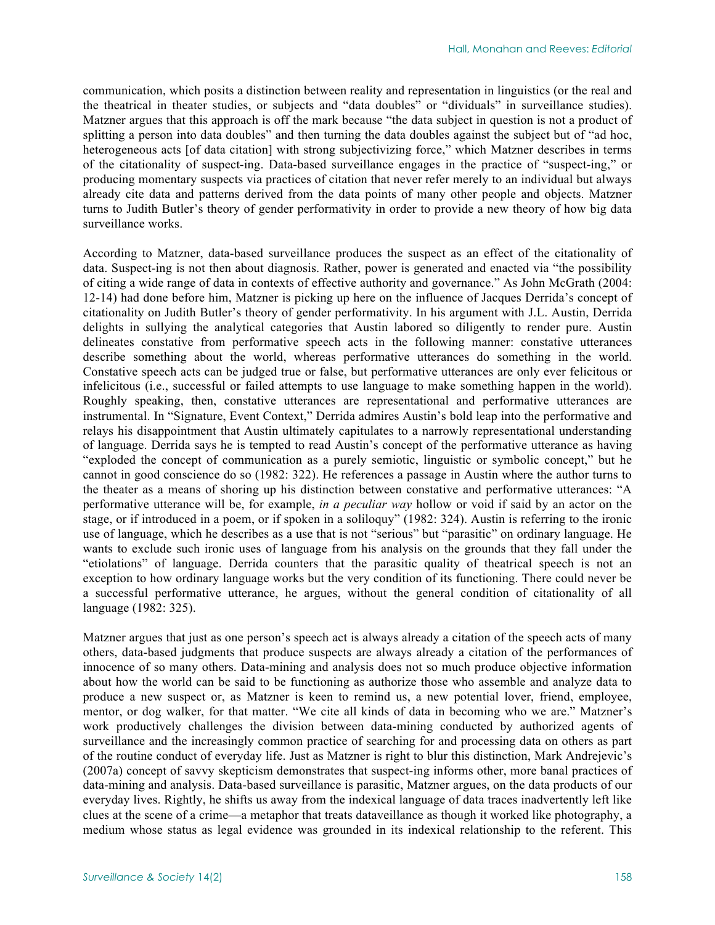communication, which posits a distinction between reality and representation in linguistics (or the real and the theatrical in theater studies, or subjects and "data doubles" or "dividuals" in surveillance studies). Matzner argues that this approach is off the mark because "the data subject in question is not a product of splitting a person into data doubles" and then turning the data doubles against the subject but of "ad hoc, heterogeneous acts [of data citation] with strong subjectivizing force," which Matzner describes in terms of the citationality of suspect-ing. Data-based surveillance engages in the practice of "suspect-ing," or producing momentary suspects via practices of citation that never refer merely to an individual but always already cite data and patterns derived from the data points of many other people and objects. Matzner turns to Judith Butler's theory of gender performativity in order to provide a new theory of how big data surveillance works.

According to Matzner, data-based surveillance produces the suspect as an effect of the citationality of data. Suspect-ing is not then about diagnosis. Rather, power is generated and enacted via "the possibility of citing a wide range of data in contexts of effective authority and governance." As John McGrath (2004: 12-14) had done before him, Matzner is picking up here on the influence of Jacques Derrida's concept of citationality on Judith Butler's theory of gender performativity. In his argument with J.L. Austin, Derrida delights in sullying the analytical categories that Austin labored so diligently to render pure. Austin delineates constative from performative speech acts in the following manner: constative utterances describe something about the world, whereas performative utterances do something in the world. Constative speech acts can be judged true or false, but performative utterances are only ever felicitous or infelicitous (i.e., successful or failed attempts to use language to make something happen in the world). Roughly speaking, then, constative utterances are representational and performative utterances are instrumental. In "Signature, Event Context," Derrida admires Austin's bold leap into the performative and relays his disappointment that Austin ultimately capitulates to a narrowly representational understanding of language. Derrida says he is tempted to read Austin's concept of the performative utterance as having "exploded the concept of communication as a purely semiotic, linguistic or symbolic concept," but he cannot in good conscience do so (1982: 322). He references a passage in Austin where the author turns to the theater as a means of shoring up his distinction between constative and performative utterances: "A performative utterance will be, for example, *in a peculiar way* hollow or void if said by an actor on the stage, or if introduced in a poem, or if spoken in a soliloquy" (1982: 324). Austin is referring to the ironic use of language, which he describes as a use that is not "serious" but "parasitic" on ordinary language. He wants to exclude such ironic uses of language from his analysis on the grounds that they fall under the "etiolations" of language. Derrida counters that the parasitic quality of theatrical speech is not an exception to how ordinary language works but the very condition of its functioning. There could never be a successful performative utterance, he argues, without the general condition of citationality of all language (1982: 325).

Matzner argues that just as one person's speech act is always already a citation of the speech acts of many others, data-based judgments that produce suspects are always already a citation of the performances of innocence of so many others. Data-mining and analysis does not so much produce objective information about how the world can be said to be functioning as authorize those who assemble and analyze data to produce a new suspect or, as Matzner is keen to remind us, a new potential lover, friend, employee, mentor, or dog walker, for that matter. "We cite all kinds of data in becoming who we are." Matzner's work productively challenges the division between data-mining conducted by authorized agents of surveillance and the increasingly common practice of searching for and processing data on others as part of the routine conduct of everyday life. Just as Matzner is right to blur this distinction, Mark Andrejevic's (2007a) concept of savvy skepticism demonstrates that suspect-ing informs other, more banal practices of data-mining and analysis. Data-based surveillance is parasitic, Matzner argues, on the data products of our everyday lives. Rightly, he shifts us away from the indexical language of data traces inadvertently left like clues at the scene of a crime—a metaphor that treats dataveillance as though it worked like photography, a medium whose status as legal evidence was grounded in its indexical relationship to the referent. This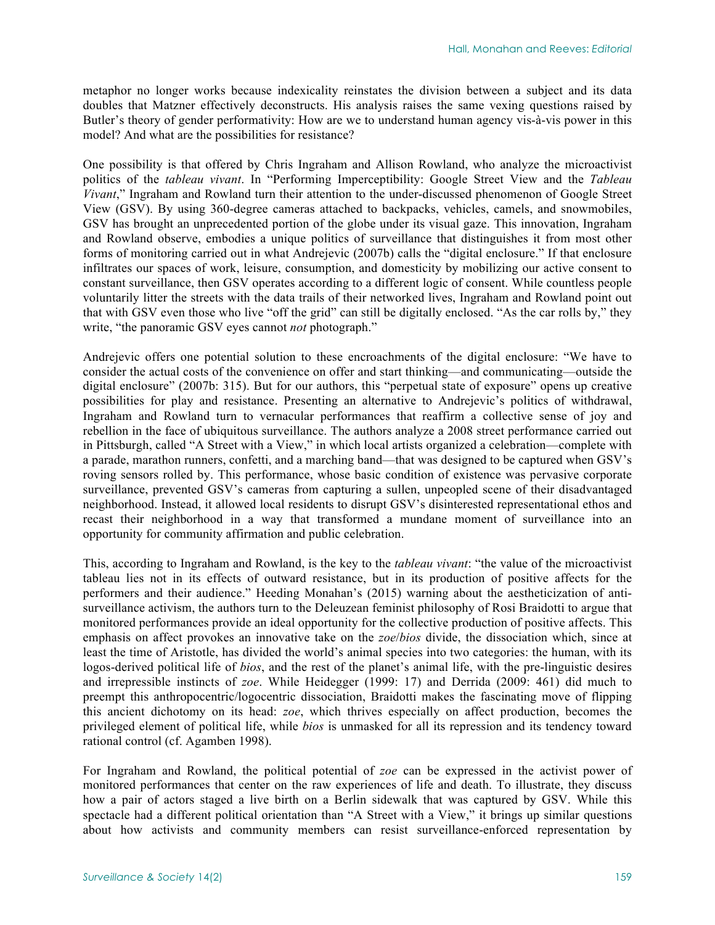metaphor no longer works because indexicality reinstates the division between a subject and its data doubles that Matzner effectively deconstructs. His analysis raises the same vexing questions raised by Butler's theory of gender performativity: How are we to understand human agency vis-à-vis power in this model? And what are the possibilities for resistance?

One possibility is that offered by Chris Ingraham and Allison Rowland, who analyze the microactivist politics of the *tableau vivant*. In "Performing Imperceptibility: Google Street View and the *Tableau Vivant*," Ingraham and Rowland turn their attention to the under-discussed phenomenon of Google Street View (GSV). By using 360-degree cameras attached to backpacks, vehicles, camels, and snowmobiles, GSV has brought an unprecedented portion of the globe under its visual gaze. This innovation, Ingraham and Rowland observe, embodies a unique politics of surveillance that distinguishes it from most other forms of monitoring carried out in what Andrejevic (2007b) calls the "digital enclosure." If that enclosure infiltrates our spaces of work, leisure, consumption, and domesticity by mobilizing our active consent to constant surveillance, then GSV operates according to a different logic of consent. While countless people voluntarily litter the streets with the data trails of their networked lives, Ingraham and Rowland point out that with GSV even those who live "off the grid" can still be digitally enclosed. "As the car rolls by," they write, "the panoramic GSV eyes cannot *not* photograph."

Andrejevic offers one potential solution to these encroachments of the digital enclosure: "We have to consider the actual costs of the convenience on offer and start thinking—and communicating—outside the digital enclosure" (2007b: 315). But for our authors, this "perpetual state of exposure" opens up creative possibilities for play and resistance. Presenting an alternative to Andrejevic's politics of withdrawal, Ingraham and Rowland turn to vernacular performances that reaffirm a collective sense of joy and rebellion in the face of ubiquitous surveillance. The authors analyze a 2008 street performance carried out in Pittsburgh, called "A Street with a View," in which local artists organized a celebration—complete with a parade, marathon runners, confetti, and a marching band—that was designed to be captured when GSV's roving sensors rolled by. This performance, whose basic condition of existence was pervasive corporate surveillance, prevented GSV's cameras from capturing a sullen, unpeopled scene of their disadvantaged neighborhood. Instead, it allowed local residents to disrupt GSV's disinterested representational ethos and recast their neighborhood in a way that transformed a mundane moment of surveillance into an opportunity for community affirmation and public celebration.

This, according to Ingraham and Rowland, is the key to the *tableau vivant*: "the value of the microactivist tableau lies not in its effects of outward resistance, but in its production of positive affects for the performers and their audience." Heeding Monahan's (2015) warning about the aestheticization of antisurveillance activism, the authors turn to the Deleuzean feminist philosophy of Rosi Braidotti to argue that monitored performances provide an ideal opportunity for the collective production of positive affects. This emphasis on affect provokes an innovative take on the *zoe*/*bios* divide, the dissociation which, since at least the time of Aristotle, has divided the world's animal species into two categories: the human, with its logos-derived political life of *bios*, and the rest of the planet's animal life, with the pre-linguistic desires and irrepressible instincts of *zoe*. While Heidegger (1999: 17) and Derrida (2009: 461) did much to preempt this anthropocentric/logocentric dissociation, Braidotti makes the fascinating move of flipping this ancient dichotomy on its head: *zoe*, which thrives especially on affect production, becomes the privileged element of political life, while *bios* is unmasked for all its repression and its tendency toward rational control (cf. Agamben 1998).

For Ingraham and Rowland, the political potential of *zoe* can be expressed in the activist power of monitored performances that center on the raw experiences of life and death. To illustrate, they discuss how a pair of actors staged a live birth on a Berlin sidewalk that was captured by GSV. While this spectacle had a different political orientation than "A Street with a View," it brings up similar questions about how activists and community members can resist surveillance-enforced representation by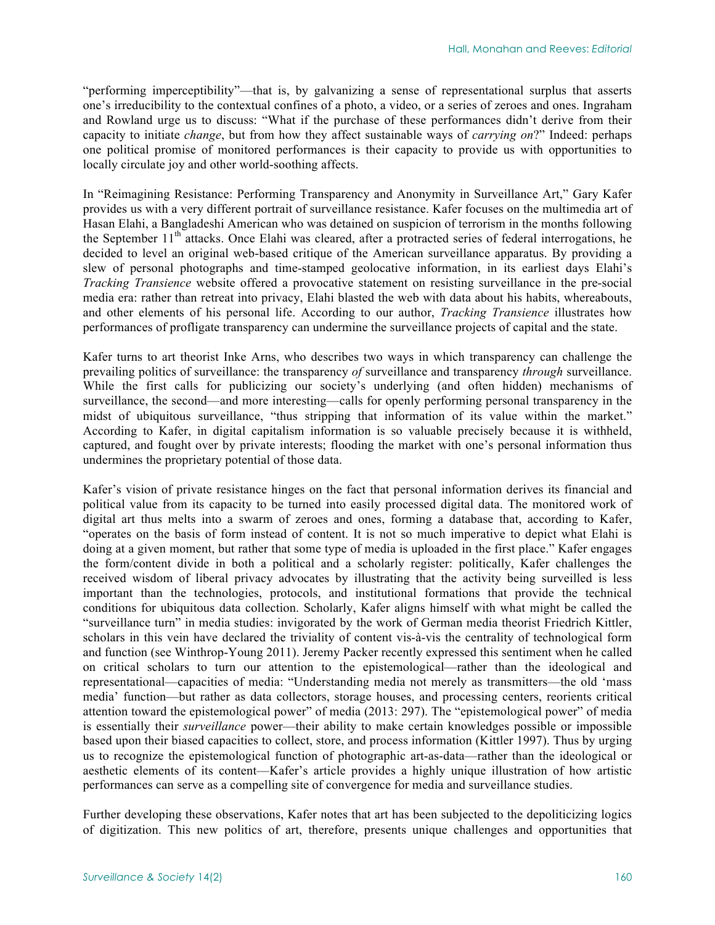"performing imperceptibility"—that is, by galvanizing a sense of representational surplus that asserts one's irreducibility to the contextual confines of a photo, a video, or a series of zeroes and ones. Ingraham and Rowland urge us to discuss: "What if the purchase of these performances didn't derive from their capacity to initiate *change*, but from how they affect sustainable ways of *carrying on*?" Indeed: perhaps one political promise of monitored performances is their capacity to provide us with opportunities to locally circulate joy and other world-soothing affects.

In "Reimagining Resistance: Performing Transparency and Anonymity in Surveillance Art," Gary Kafer provides us with a very different portrait of surveillance resistance. Kafer focuses on the multimedia art of Hasan Elahi, a Bangladeshi American who was detained on suspicion of terrorism in the months following the September  $11<sup>th</sup>$  attacks. Once Elahi was cleared, after a protracted series of federal interrogations, he decided to level an original web-based critique of the American surveillance apparatus. By providing a slew of personal photographs and time-stamped geolocative information, in its earliest days Elahi's *Tracking Transience* website offered a provocative statement on resisting surveillance in the pre-social media era: rather than retreat into privacy, Elahi blasted the web with data about his habits, whereabouts, and other elements of his personal life. According to our author, *Tracking Transience* illustrates how performances of profligate transparency can undermine the surveillance projects of capital and the state.

Kafer turns to art theorist Inke Arns, who describes two ways in which transparency can challenge the prevailing politics of surveillance: the transparency *of* surveillance and transparency *through* surveillance. While the first calls for publicizing our society's underlying (and often hidden) mechanisms of surveillance, the second—and more interesting—calls for openly performing personal transparency in the midst of ubiquitous surveillance, "thus stripping that information of its value within the market." According to Kafer, in digital capitalism information is so valuable precisely because it is withheld, captured, and fought over by private interests; flooding the market with one's personal information thus undermines the proprietary potential of those data.

Kafer's vision of private resistance hinges on the fact that personal information derives its financial and political value from its capacity to be turned into easily processed digital data. The monitored work of digital art thus melts into a swarm of zeroes and ones, forming a database that, according to Kafer, "operates on the basis of form instead of content. It is not so much imperative to depict what Elahi is doing at a given moment, but rather that some type of media is uploaded in the first place." Kafer engages the form/content divide in both a political and a scholarly register: politically, Kafer challenges the received wisdom of liberal privacy advocates by illustrating that the activity being surveilled is less important than the technologies, protocols, and institutional formations that provide the technical conditions for ubiquitous data collection. Scholarly, Kafer aligns himself with what might be called the "surveillance turn" in media studies: invigorated by the work of German media theorist Friedrich Kittler, scholars in this vein have declared the triviality of content vis-à-vis the centrality of technological form and function (see Winthrop-Young 2011). Jeremy Packer recently expressed this sentiment when he called on critical scholars to turn our attention to the epistemological—rather than the ideological and representational—capacities of media: "Understanding media not merely as transmitters—the old 'mass media' function—but rather as data collectors, storage houses, and processing centers, reorients critical attention toward the epistemological power" of media (2013: 297). The "epistemological power" of media is essentially their *surveillance* power—their ability to make certain knowledges possible or impossible based upon their biased capacities to collect, store, and process information (Kittler 1997). Thus by urging us to recognize the epistemological function of photographic art-as-data—rather than the ideological or aesthetic elements of its content—Kafer's article provides a highly unique illustration of how artistic performances can serve as a compelling site of convergence for media and surveillance studies.

Further developing these observations, Kafer notes that art has been subjected to the depoliticizing logics of digitization. This new politics of art, therefore, presents unique challenges and opportunities that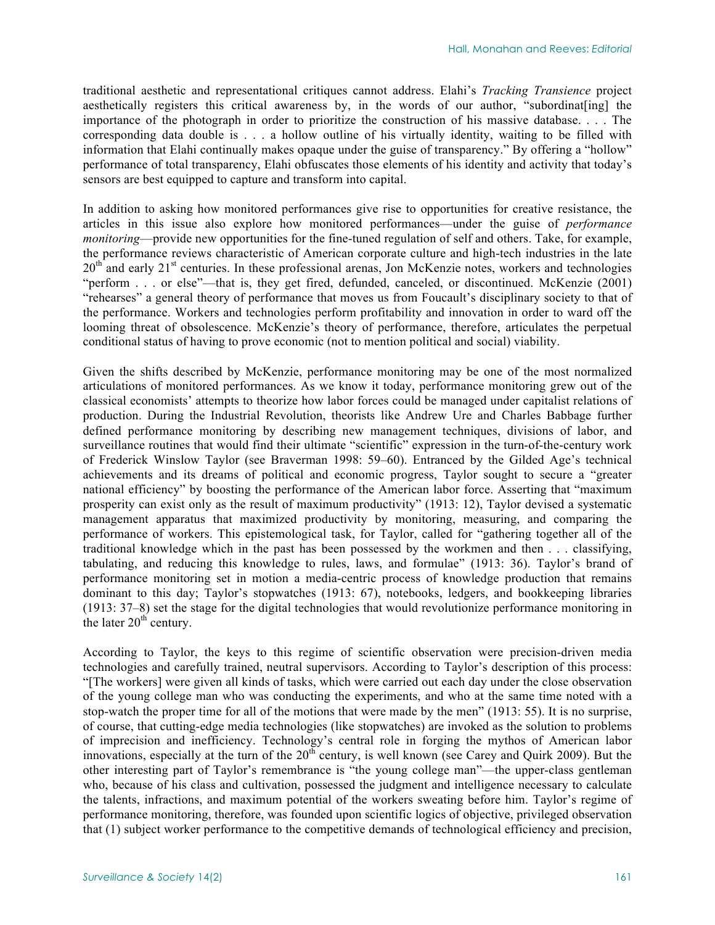traditional aesthetic and representational critiques cannot address. Elahi's *Tracking Transience* project aesthetically registers this critical awareness by, in the words of our author, "subordinat[ing] the importance of the photograph in order to prioritize the construction of his massive database. . . . The corresponding data double is . . . a hollow outline of his virtually identity, waiting to be filled with information that Elahi continually makes opaque under the guise of transparency." By offering a "hollow" performance of total transparency, Elahi obfuscates those elements of his identity and activity that today's sensors are best equipped to capture and transform into capital.

In addition to asking how monitored performances give rise to opportunities for creative resistance, the articles in this issue also explore how monitored performances—under the guise of *performance monitoring—provide new opportunities for the fine-tuned regulation of self and others. Take, for example,* the performance reviews characteristic of American corporate culture and high-tech industries in the late  $20<sup>th</sup>$  and early  $21<sup>st</sup>$  centuries. In these professional arenas, Jon McKenzie notes, workers and technologies "perform . . . or else"—that is, they get fired, defunded, canceled, or discontinued. McKenzie (2001) "rehearses" a general theory of performance that moves us from Foucault's disciplinary society to that of the performance. Workers and technologies perform profitability and innovation in order to ward off the looming threat of obsolescence. McKenzie's theory of performance, therefore, articulates the perpetual conditional status of having to prove economic (not to mention political and social) viability.

Given the shifts described by McKenzie, performance monitoring may be one of the most normalized articulations of monitored performances. As we know it today, performance monitoring grew out of the classical economists' attempts to theorize how labor forces could be managed under capitalist relations of production. During the Industrial Revolution, theorists like Andrew Ure and Charles Babbage further defined performance monitoring by describing new management techniques, divisions of labor, and surveillance routines that would find their ultimate "scientific" expression in the turn-of-the-century work of Frederick Winslow Taylor (see Braverman 1998: 59–60). Entranced by the Gilded Age's technical achievements and its dreams of political and economic progress, Taylor sought to secure a "greater national efficiency" by boosting the performance of the American labor force. Asserting that "maximum prosperity can exist only as the result of maximum productivity" (1913: 12), Taylor devised a systematic management apparatus that maximized productivity by monitoring, measuring, and comparing the performance of workers. This epistemological task, for Taylor, called for "gathering together all of the traditional knowledge which in the past has been possessed by the workmen and then . . . classifying, tabulating, and reducing this knowledge to rules, laws, and formulae" (1913: 36). Taylor's brand of performance monitoring set in motion a media-centric process of knowledge production that remains dominant to this day; Taylor's stopwatches (1913: 67), notebooks, ledgers, and bookkeeping libraries (1913: 37–8) set the stage for the digital technologies that would revolutionize performance monitoring in the later  $20<sup>th</sup>$  century.

According to Taylor, the keys to this regime of scientific observation were precision-driven media technologies and carefully trained, neutral supervisors. According to Taylor's description of this process: "[The workers] were given all kinds of tasks, which were carried out each day under the close observation of the young college man who was conducting the experiments, and who at the same time noted with a stop-watch the proper time for all of the motions that were made by the men" (1913: 55). It is no surprise, of course, that cutting-edge media technologies (like stopwatches) are invoked as the solution to problems of imprecision and inefficiency. Technology's central role in forging the mythos of American labor innovations, especially at the turn of the  $20^{th}$  century, is well known (see Carey and Quirk 2009). But the other interesting part of Taylor's remembrance is "the young college man"—the upper-class gentleman who, because of his class and cultivation, possessed the judgment and intelligence necessary to calculate the talents, infractions, and maximum potential of the workers sweating before him. Taylor's regime of performance monitoring, therefore, was founded upon scientific logics of objective, privileged observation that (1) subject worker performance to the competitive demands of technological efficiency and precision,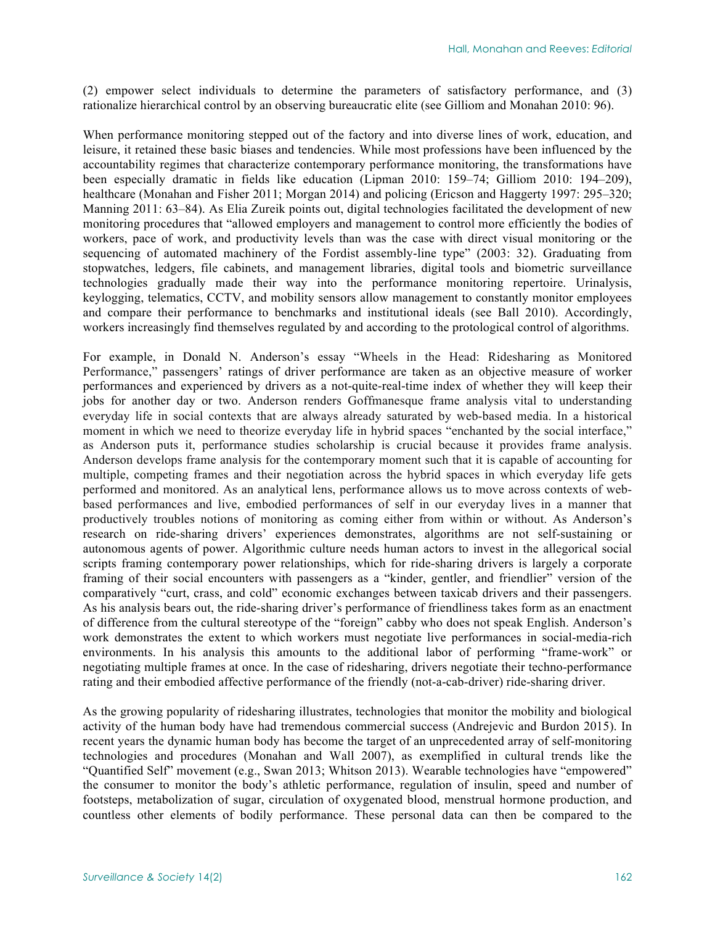(2) empower select individuals to determine the parameters of satisfactory performance, and (3) rationalize hierarchical control by an observing bureaucratic elite (see Gilliom and Monahan 2010: 96).

When performance monitoring stepped out of the factory and into diverse lines of work, education, and leisure, it retained these basic biases and tendencies. While most professions have been influenced by the accountability regimes that characterize contemporary performance monitoring, the transformations have been especially dramatic in fields like education (Lipman 2010: 159–74; Gilliom 2010: 194–209), healthcare (Monahan and Fisher 2011; Morgan 2014) and policing (Ericson and Haggerty 1997: 295–320; Manning 2011: 63–84). As Elia Zureik points out, digital technologies facilitated the development of new monitoring procedures that "allowed employers and management to control more efficiently the bodies of workers, pace of work, and productivity levels than was the case with direct visual monitoring or the sequencing of automated machinery of the Fordist assembly-line type" (2003: 32). Graduating from stopwatches, ledgers, file cabinets, and management libraries, digital tools and biometric surveillance technologies gradually made their way into the performance monitoring repertoire. Urinalysis, keylogging, telematics, CCTV, and mobility sensors allow management to constantly monitor employees and compare their performance to benchmarks and institutional ideals (see Ball 2010). Accordingly, workers increasingly find themselves regulated by and according to the protological control of algorithms.

For example, in Donald N. Anderson's essay "Wheels in the Head: Ridesharing as Monitored Performance," passengers' ratings of driver performance are taken as an objective measure of worker performances and experienced by drivers as a not-quite-real-time index of whether they will keep their jobs for another day or two. Anderson renders Goffmanesque frame analysis vital to understanding everyday life in social contexts that are always already saturated by web-based media. In a historical moment in which we need to theorize everyday life in hybrid spaces "enchanted by the social interface," as Anderson puts it, performance studies scholarship is crucial because it provides frame analysis. Anderson develops frame analysis for the contemporary moment such that it is capable of accounting for multiple, competing frames and their negotiation across the hybrid spaces in which everyday life gets performed and monitored. As an analytical lens, performance allows us to move across contexts of webbased performances and live, embodied performances of self in our everyday lives in a manner that productively troubles notions of monitoring as coming either from within or without. As Anderson's research on ride-sharing drivers' experiences demonstrates, algorithms are not self-sustaining or autonomous agents of power. Algorithmic culture needs human actors to invest in the allegorical social scripts framing contemporary power relationships, which for ride-sharing drivers is largely a corporate framing of their social encounters with passengers as a "kinder, gentler, and friendlier" version of the comparatively "curt, crass, and cold" economic exchanges between taxicab drivers and their passengers. As his analysis bears out, the ride-sharing driver's performance of friendliness takes form as an enactment of difference from the cultural stereotype of the "foreign" cabby who does not speak English. Anderson's work demonstrates the extent to which workers must negotiate live performances in social-media-rich environments. In his analysis this amounts to the additional labor of performing "frame-work" or negotiating multiple frames at once. In the case of ridesharing, drivers negotiate their techno-performance rating and their embodied affective performance of the friendly (not-a-cab-driver) ride-sharing driver.

As the growing popularity of ridesharing illustrates, technologies that monitor the mobility and biological activity of the human body have had tremendous commercial success (Andrejevic and Burdon 2015). In recent years the dynamic human body has become the target of an unprecedented array of self-monitoring technologies and procedures (Monahan and Wall 2007), as exemplified in cultural trends like the "Quantified Self" movement (e.g., Swan 2013; Whitson 2013). Wearable technologies have "empowered" the consumer to monitor the body's athletic performance, regulation of insulin, speed and number of footsteps, metabolization of sugar, circulation of oxygenated blood, menstrual hormone production, and countless other elements of bodily performance. These personal data can then be compared to the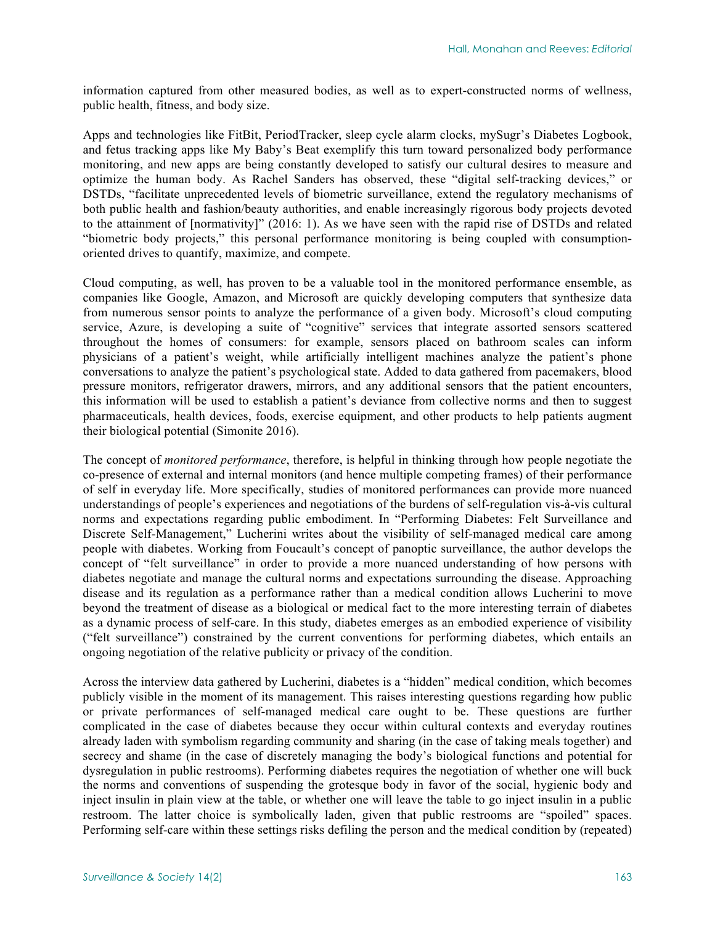information captured from other measured bodies, as well as to expert-constructed norms of wellness, public health, fitness, and body size.

Apps and technologies like FitBit, PeriodTracker, sleep cycle alarm clocks, mySugr's Diabetes Logbook, and fetus tracking apps like My Baby's Beat exemplify this turn toward personalized body performance monitoring, and new apps are being constantly developed to satisfy our cultural desires to measure and optimize the human body. As Rachel Sanders has observed, these "digital self-tracking devices," or DSTDs, "facilitate unprecedented levels of biometric surveillance, extend the regulatory mechanisms of both public health and fashion/beauty authorities, and enable increasingly rigorous body projects devoted to the attainment of [normativity]" (2016: 1). As we have seen with the rapid rise of DSTDs and related "biometric body projects," this personal performance monitoring is being coupled with consumptionoriented drives to quantify, maximize, and compete.

Cloud computing, as well, has proven to be a valuable tool in the monitored performance ensemble, as companies like Google, Amazon, and Microsoft are quickly developing computers that synthesize data from numerous sensor points to analyze the performance of a given body. Microsoft's cloud computing service, Azure, is developing a suite of "cognitive" services that integrate assorted sensors scattered throughout the homes of consumers: for example, sensors placed on bathroom scales can inform physicians of a patient's weight, while artificially intelligent machines analyze the patient's phone conversations to analyze the patient's psychological state. Added to data gathered from pacemakers, blood pressure monitors, refrigerator drawers, mirrors, and any additional sensors that the patient encounters, this information will be used to establish a patient's deviance from collective norms and then to suggest pharmaceuticals, health devices, foods, exercise equipment, and other products to help patients augment their biological potential (Simonite 2016).

The concept of *monitored performance*, therefore, is helpful in thinking through how people negotiate the co-presence of external and internal monitors (and hence multiple competing frames) of their performance of self in everyday life. More specifically, studies of monitored performances can provide more nuanced understandings of people's experiences and negotiations of the burdens of self-regulation vis-à-vis cultural norms and expectations regarding public embodiment. In "Performing Diabetes: Felt Surveillance and Discrete Self-Management," Lucherini writes about the visibility of self-managed medical care among people with diabetes. Working from Foucault's concept of panoptic surveillance, the author develops the concept of "felt surveillance" in order to provide a more nuanced understanding of how persons with diabetes negotiate and manage the cultural norms and expectations surrounding the disease. Approaching disease and its regulation as a performance rather than a medical condition allows Lucherini to move beyond the treatment of disease as a biological or medical fact to the more interesting terrain of diabetes as a dynamic process of self-care. In this study, diabetes emerges as an embodied experience of visibility ("felt surveillance") constrained by the current conventions for performing diabetes, which entails an ongoing negotiation of the relative publicity or privacy of the condition.

Across the interview data gathered by Lucherini, diabetes is a "hidden" medical condition, which becomes publicly visible in the moment of its management. This raises interesting questions regarding how public or private performances of self-managed medical care ought to be. These questions are further complicated in the case of diabetes because they occur within cultural contexts and everyday routines already laden with symbolism regarding community and sharing (in the case of taking meals together) and secrecy and shame (in the case of discretely managing the body's biological functions and potential for dysregulation in public restrooms). Performing diabetes requires the negotiation of whether one will buck the norms and conventions of suspending the grotesque body in favor of the social, hygienic body and inject insulin in plain view at the table, or whether one will leave the table to go inject insulin in a public restroom. The latter choice is symbolically laden, given that public restrooms are "spoiled" spaces. Performing self-care within these settings risks defiling the person and the medical condition by (repeated)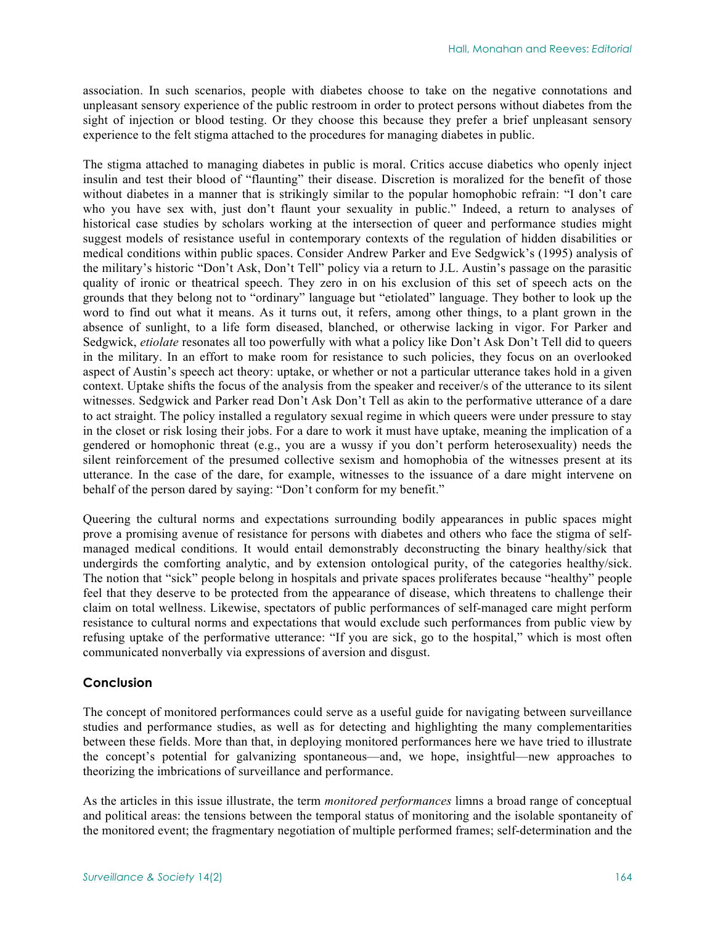association. In such scenarios, people with diabetes choose to take on the negative connotations and unpleasant sensory experience of the public restroom in order to protect persons without diabetes from the sight of injection or blood testing. Or they choose this because they prefer a brief unpleasant sensory experience to the felt stigma attached to the procedures for managing diabetes in public.

The stigma attached to managing diabetes in public is moral. Critics accuse diabetics who openly inject insulin and test their blood of "flaunting" their disease. Discretion is moralized for the benefit of those without diabetes in a manner that is strikingly similar to the popular homophobic refrain: "I don't care who you have sex with, just don't flaunt your sexuality in public." Indeed, a return to analyses of historical case studies by scholars working at the intersection of queer and performance studies might suggest models of resistance useful in contemporary contexts of the regulation of hidden disabilities or medical conditions within public spaces. Consider Andrew Parker and Eve Sedgwick's (1995) analysis of the military's historic "Don't Ask, Don't Tell" policy via a return to J.L. Austin's passage on the parasitic quality of ironic or theatrical speech. They zero in on his exclusion of this set of speech acts on the grounds that they belong not to "ordinary" language but "etiolated" language. They bother to look up the word to find out what it means. As it turns out, it refers, among other things, to a plant grown in the absence of sunlight, to a life form diseased, blanched, or otherwise lacking in vigor. For Parker and Sedgwick, *etiolate* resonates all too powerfully with what a policy like Don't Ask Don't Tell did to queers in the military. In an effort to make room for resistance to such policies, they focus on an overlooked aspect of Austin's speech act theory: uptake, or whether or not a particular utterance takes hold in a given context. Uptake shifts the focus of the analysis from the speaker and receiver/s of the utterance to its silent witnesses. Sedgwick and Parker read Don't Ask Don't Tell as akin to the performative utterance of a dare to act straight. The policy installed a regulatory sexual regime in which queers were under pressure to stay in the closet or risk losing their jobs. For a dare to work it must have uptake, meaning the implication of a gendered or homophonic threat (e.g., you are a wussy if you don't perform heterosexuality) needs the silent reinforcement of the presumed collective sexism and homophobia of the witnesses present at its utterance. In the case of the dare, for example, witnesses to the issuance of a dare might intervene on behalf of the person dared by saying: "Don't conform for my benefit."

Queering the cultural norms and expectations surrounding bodily appearances in public spaces might prove a promising avenue of resistance for persons with diabetes and others who face the stigma of selfmanaged medical conditions. It would entail demonstrably deconstructing the binary healthy/sick that undergirds the comforting analytic, and by extension ontological purity, of the categories healthy/sick. The notion that "sick" people belong in hospitals and private spaces proliferates because "healthy" people feel that they deserve to be protected from the appearance of disease, which threatens to challenge their claim on total wellness. Likewise, spectators of public performances of self-managed care might perform resistance to cultural norms and expectations that would exclude such performances from public view by refusing uptake of the performative utterance: "If you are sick, go to the hospital," which is most often communicated nonverbally via expressions of aversion and disgust.

#### **Conclusion**

The concept of monitored performances could serve as a useful guide for navigating between surveillance studies and performance studies, as well as for detecting and highlighting the many complementarities between these fields. More than that, in deploying monitored performances here we have tried to illustrate the concept's potential for galvanizing spontaneous—and, we hope, insightful—new approaches to theorizing the imbrications of surveillance and performance.

As the articles in this issue illustrate, the term *monitored performances* limns a broad range of conceptual and political areas: the tensions between the temporal status of monitoring and the isolable spontaneity of the monitored event; the fragmentary negotiation of multiple performed frames; self-determination and the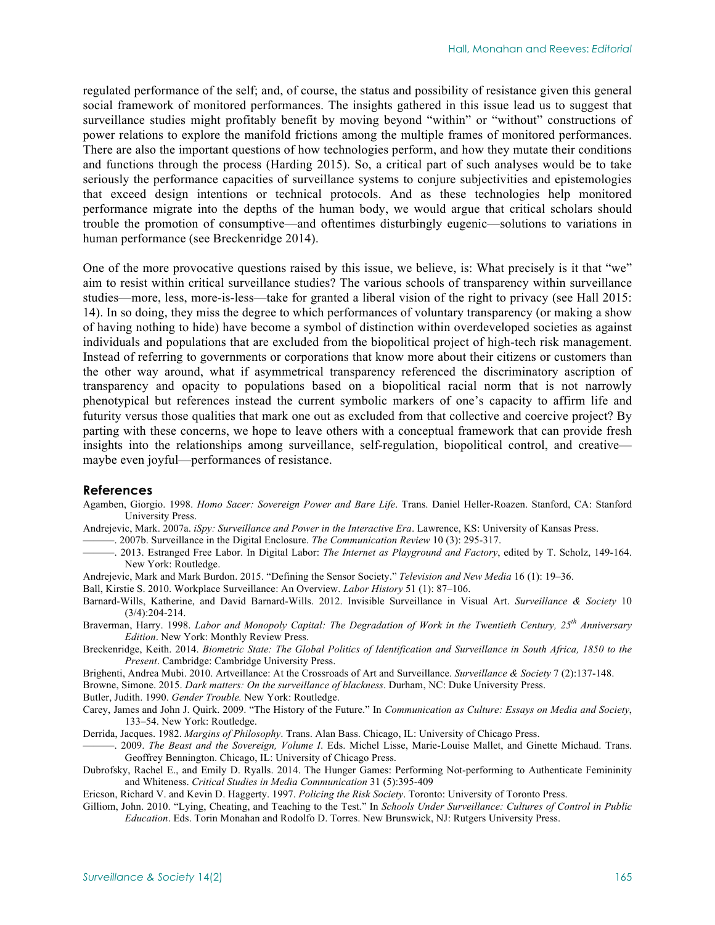regulated performance of the self; and, of course, the status and possibility of resistance given this general social framework of monitored performances. The insights gathered in this issue lead us to suggest that surveillance studies might profitably benefit by moving beyond "within" or "without" constructions of power relations to explore the manifold frictions among the multiple frames of monitored performances. There are also the important questions of how technologies perform, and how they mutate their conditions and functions through the process (Harding 2015). So, a critical part of such analyses would be to take seriously the performance capacities of surveillance systems to conjure subjectivities and epistemologies that exceed design intentions or technical protocols. And as these technologies help monitored performance migrate into the depths of the human body, we would argue that critical scholars should trouble the promotion of consumptive—and oftentimes disturbingly eugenic—solutions to variations in human performance (see Breckenridge 2014).

One of the more provocative questions raised by this issue, we believe, is: What precisely is it that "we" aim to resist within critical surveillance studies? The various schools of transparency within surveillance studies—more, less, more-is-less—take for granted a liberal vision of the right to privacy (see Hall 2015: 14). In so doing, they miss the degree to which performances of voluntary transparency (or making a show of having nothing to hide) have become a symbol of distinction within overdeveloped societies as against individuals and populations that are excluded from the biopolitical project of high-tech risk management. Instead of referring to governments or corporations that know more about their citizens or customers than the other way around, what if asymmetrical transparency referenced the discriminatory ascription of transparency and opacity to populations based on a biopolitical racial norm that is not narrowly phenotypical but references instead the current symbolic markers of one's capacity to affirm life and futurity versus those qualities that mark one out as excluded from that collective and coercive project? By parting with these concerns, we hope to leave others with a conceptual framework that can provide fresh insights into the relationships among surveillance, self-regulation, biopolitical control, and creative maybe even joyful—performances of resistance.

#### **References**

- Agamben, Giorgio. 1998. *Homo Sacer: Sovereign Power and Bare Life*. Trans. Daniel Heller-Roazen. Stanford, CA: Stanford University Press.
- Andrejevic, Mark. 2007a. *iSpy: Surveillance and Power in the Interactive Era*. Lawrence, KS: University of Kansas Press.

———. 2007b. Surveillance in the Digital Enclosure. *The Communication Review* 10 (3): 295-317.

- ———. 2013. Estranged Free Labor. In Digital Labor: *The Internet as Playground and Factory*, edited by T. Scholz, 149-164. New York: Routledge.
- Andrejevic, Mark and Mark Burdon. 2015. "Defining the Sensor Society." *Television and New Media* 16 (1): 19–36.
- Ball, Kirstie S. 2010. Workplace Surveillance: An Overview. *Labor History* 51 (1): 87–106.
- Barnard-Wills, Katherine, and David Barnard-Wills. 2012. Invisible Surveillance in Visual Art. *Surveillance & Society* 10 (3/4):204-214.
- Braverman, Harry. 1998. *Labor and Monopoly Capital: The Degradation of Work in the Twentieth Century, 25th Anniversary Edition*. New York: Monthly Review Press.
- Breckenridge, Keith. 2014. *Biometric State: The Global Politics of Identification and Surveillance in South Africa, 1850 to the Present*. Cambridge: Cambridge University Press.
- Brighenti, Andrea Mubi. 2010. Artveillance: At the Crossroads of Art and Surveillance. *Surveillance & Society* 7 (2):137-148.

Browne, Simone. 2015. *Dark matters: On the surveillance of blackness*. Durham, NC: Duke University Press.

Butler, Judith. 1990. *Gender Trouble.* New York: Routledge.

Carey, James and John J. Quirk. 2009. "The History of the Future." In *Communication as Culture: Essays on Media and Society*, 133–54. New York: Routledge.

Derrida, Jacques. 1982. *Margins of Philosophy*. Trans. Alan Bass. Chicago, IL: University of Chicago Press.

- ———. 2009. *The Beast and the Sovereign, Volume I*. Eds. Michel Lisse, Marie-Louise Mallet, and Ginette Michaud. Trans. Geoffrey Bennington. Chicago, IL: University of Chicago Press.
- Dubrofsky, Rachel E., and Emily D. Ryalls. 2014. The Hunger Games: Performing Not-performing to Authenticate Femininity and Whiteness. *Critical Studies in Media Communication* 31 (5):395-409

Ericson, Richard V. and Kevin D. Haggerty. 1997. *Policing the Risk Society*. Toronto: University of Toronto Press.

Gilliom, John. 2010. "Lying, Cheating, and Teaching to the Test." In *Schools Under Surveillance: Cultures of Control in Public Education*. Eds. Torin Monahan and Rodolfo D. Torres. New Brunswick, NJ: Rutgers University Press.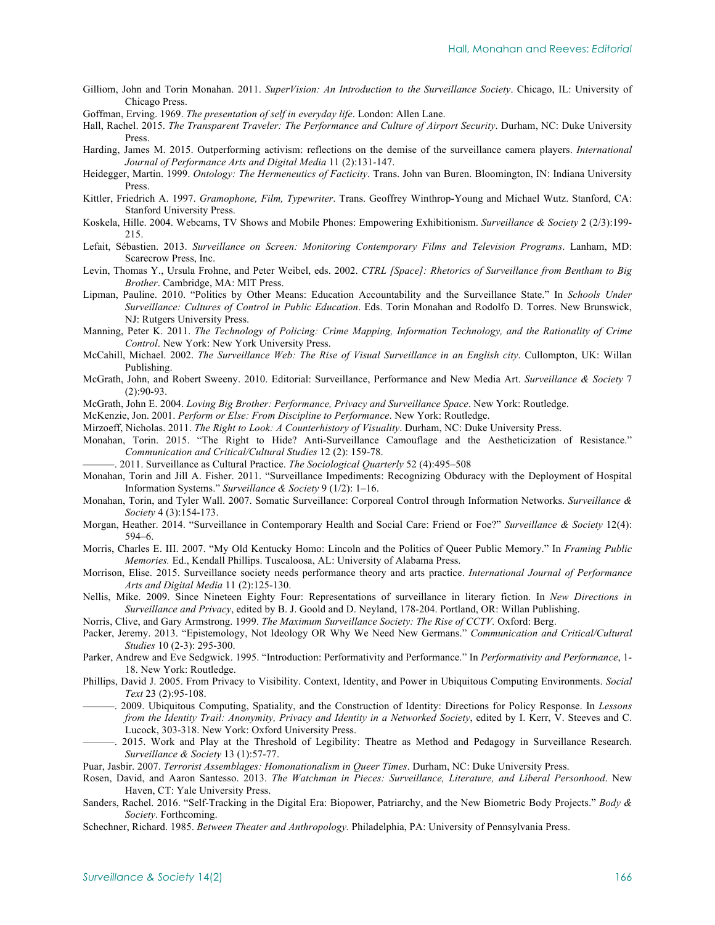Gilliom, John and Torin Monahan. 2011. *SuperVision: An Introduction to the Surveillance Society*. Chicago, IL: University of Chicago Press.

Goffman, Erving. 1969. *The presentation of self in everyday life*. London: Allen Lane.

- Hall, Rachel. 2015. *The Transparent Traveler: The Performance and Culture of Airport Security*. Durham, NC: Duke University Press.
- Harding, James M. 2015. Outperforming activism: reflections on the demise of the surveillance camera players. *International Journal of Performance Arts and Digital Media* 11 (2):131-147.
- Heidegger, Martin. 1999. *Ontology: The Hermeneutics of Facticity*. Trans. John van Buren. Bloomington, IN: Indiana University Press.
- Kittler, Friedrich A. 1997. *Gramophone, Film, Typewriter*. Trans. Geoffrey Winthrop-Young and Michael Wutz. Stanford, CA: Stanford University Press.
- Koskela, Hille. 2004. Webcams, TV Shows and Mobile Phones: Empowering Exhibitionism. *Surveillance & Society* 2 (2/3):199- 215.
- Lefait, Sébastien. 2013. *Surveillance on Screen: Monitoring Contemporary Films and Television Programs*. Lanham, MD: Scarecrow Press, Inc.
- Levin, Thomas Y., Ursula Frohne, and Peter Weibel, eds. 2002. *CTRL [Space]: Rhetorics of Surveillance from Bentham to Big Brother*. Cambridge, MA: MIT Press.
- Lipman, Pauline. 2010. "Politics by Other Means: Education Accountability and the Surveillance State." In *Schools Under Surveillance: Cultures of Control in Public Education*. Eds. Torin Monahan and Rodolfo D. Torres. New Brunswick, NJ: Rutgers University Press.
- Manning, Peter K. 2011. *The Technology of Policing: Crime Mapping, Information Technology, and the Rationality of Crime Control*. New York: New York University Press.
- McCahill, Michael. 2002. *The Surveillance Web: The Rise of Visual Surveillance in an English city*. Cullompton, UK: Willan Publishing.
- McGrath, John, and Robert Sweeny. 2010. Editorial: Surveillance, Performance and New Media Art. *Surveillance & Society* 7 (2):90-93.
- McGrath, John E. 2004. *Loving Big Brother: Performance, Privacy and Surveillance Space*. New York: Routledge.
- McKenzie, Jon. 2001. *Perform or Else: From Discipline to Performance*. New York: Routledge.
- Mirzoeff, Nicholas. 2011. *The Right to Look: A Counterhistory of Visuality*. Durham, NC: Duke University Press.
- Monahan, Torin. 2015. "The Right to Hide? Anti-Surveillance Camouflage and the Aestheticization of Resistance." *Communication and Critical/Cultural Studies* 12 (2): 159-78.
- ———. 2011. Surveillance as Cultural Practice. *The Sociological Quarterly* 52 (4):495–508
- Monahan, Torin and Jill A. Fisher. 2011. "Surveillance Impediments: Recognizing Obduracy with the Deployment of Hospital Information Systems." *Surveillance & Society* 9 (1/2): 1–16.
- Monahan, Torin, and Tyler Wall. 2007. Somatic Surveillance: Corporeal Control through Information Networks. *Surveillance & Society* 4 (3):154-173.
- Morgan, Heather. 2014. "Surveillance in Contemporary Health and Social Care: Friend or Foe?" *Surveillance & Society* 12(4): 594–6.
- Morris, Charles E. III. 2007. "My Old Kentucky Homo: Lincoln and the Politics of Queer Public Memory." In *Framing Public Memories.* Ed., Kendall Phillips. Tuscaloosa, AL: University of Alabama Press.
- Morrison, Elise. 2015. Surveillance society needs performance theory and arts practice. *International Journal of Performance Arts and Digital Media* 11 (2):125-130.
- Nellis, Mike. 2009. Since Nineteen Eighty Four: Representations of surveillance in literary fiction. In *New Directions in Surveillance and Privacy*, edited by B. J. Goold and D. Neyland, 178-204. Portland, OR: Willan Publishing.
- Norris, Clive, and Gary Armstrong. 1999. *The Maximum Surveillance Society: The Rise of CCTV.* Oxford: Berg.
- Packer, Jeremy. 2013. "Epistemology, Not Ideology OR Why We Need New Germans." *Communication and Critical/Cultural Studies* 10 (2-3): 295-300.
- Parker, Andrew and Eve Sedgwick. 1995. "Introduction: Performativity and Performance." In *Performativity and Performance*, 1- 18. New York: Routledge.
- Phillips, David J. 2005. From Privacy to Visibility. Context, Identity, and Power in Ubiquitous Computing Environments. *Social Text* 23 (2):95-108.
- ———. 2009. Ubiquitous Computing, Spatiality, and the Construction of Identity: Directions for Policy Response. In *Lessons from the Identity Trail: Anonymity, Privacy and Identity in a Networked Society*, edited by I. Kerr, V. Steeves and C. Lucock, 303-318. New York: Oxford University Press.
- ———. 2015. Work and Play at the Threshold of Legibility: Theatre as Method and Pedagogy in Surveillance Research. *Surveillance & Society* 13 (1):57-77.
- Puar, Jasbir. 2007. *Terrorist Assemblages: Homonationalism in Queer Times*. Durham, NC: Duke University Press.
- Rosen, David, and Aaron Santesso. 2013. *The Watchman in Pieces: Surveillance, Literature, and Liberal Personhood*. New Haven, CT: Yale University Press.
- Sanders, Rachel. 2016. "Self-Tracking in the Digital Era: Biopower, Patriarchy, and the New Biometric Body Projects." *Body & Society*. Forthcoming.
- Schechner, Richard. 1985. *Between Theater and Anthropology.* Philadelphia, PA: University of Pennsylvania Press.